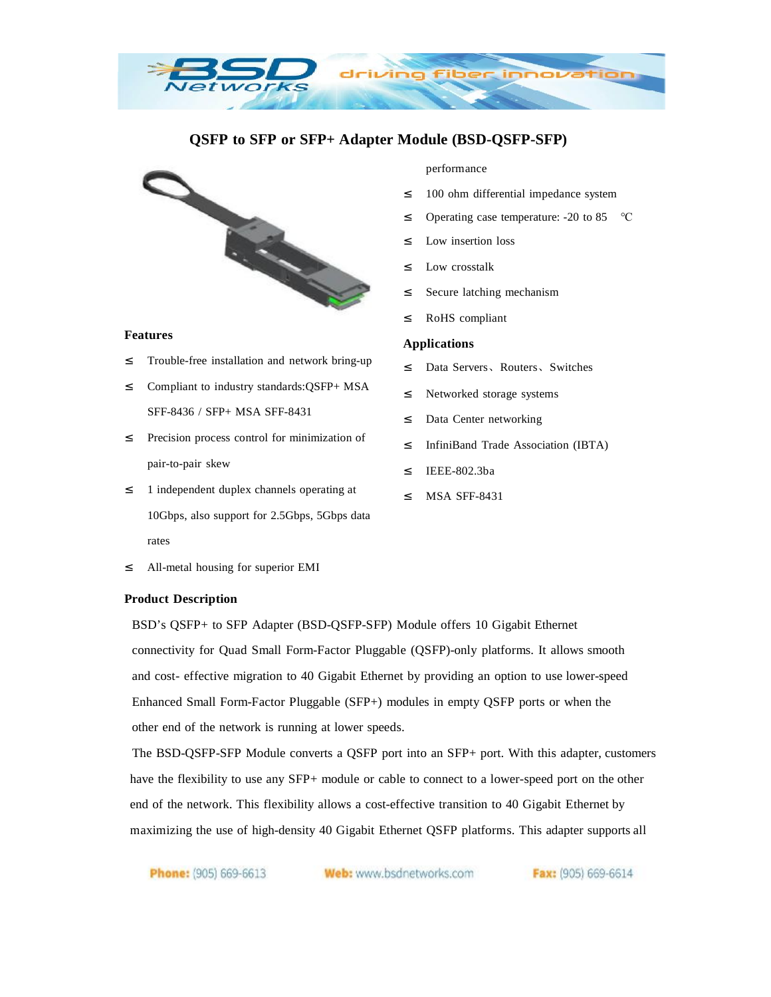# **QSFP to SFP or SFP+ Adapter Module (BSD-QSFP-SFP)**

zino



**DELIVORES** 

#### **Features**

- <sup>2</sup> Trouble-free installation and network bring-up
- ² Compliant to industry standards:QSFP+ MSA SFF-8436 / SFP+ MSA SFF-8431
- ² Precision process control for minimization of pair-to-pair skew
- <sup>2</sup> 1 independent duplex channels operating at 10Gbps, also support for 2.5Gbps, 5Gbps data rates
- ² All-metal housing for superior EMI

#### **Product Description**

BSD's QSFP+ to SFP Adapter (BSD-QSFP-SFP) Module offers 10 Gigabit Ethernet connectivity for Quad Small Form-Factor Pluggable (QSFP)-only platforms. It allows smooth and cost- effective migration to 40 Gigabit Ethernet by providing an option to use lower-speed Enhanced Small Form-Factor Pluggable (SFP+) modules in empty QSFP ports or when the other end of the network is running at lower speeds.

The BSD-QSFP-SFP Module converts a QSFP port into an SFP+ port. With this adapter, customers have the flexibility to use any SFP+ module or cable to connect to a lower-speed port on the other end of the network. This flexibility allows a cost-effective transition to 40 Gigabit Ethernet by maximizing the use of high-density 40 Gigabit Ethernet QSFP platforms. This adapter supports all

Phone: (905) 669-6613

Web: www.bsdnetworks.com

performance

- <sup>2</sup> 100 ohm differential impedance system
- ² Operating case temperature: -20 to 85 ℃
- ² Low insertion loss
- ² Low crosstalk
- ² Secure latching mechanism
- ² RoHS compliant

#### **Applications**

- ² Data Servers、Routers、Switches
- ² Networked storage systems
- <sup>2</sup> Data Center networking
- ² InfiniBand Trade Association (IBTA)
- ² IEEE-802.3ba
- ² MSA SFF-8431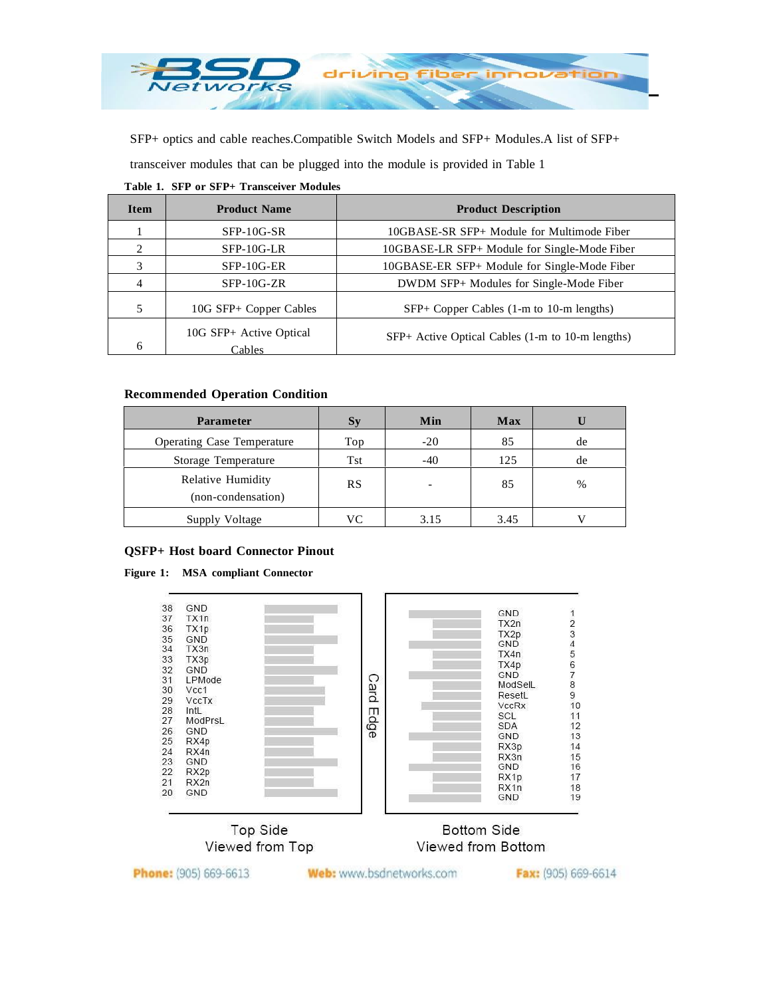

SFP+ optics and cable reaches.Compatible Switch Models and SFP+ Modules.A list of SFP+

transceiver modules that can be plugged into the module is provided in Table 1

| <b>Item</b>                 | <b>Product Name</b>               | <b>Product Description</b>                       |
|-----------------------------|-----------------------------------|--------------------------------------------------|
|                             | $SFP-10G-SR$                      | 10GBASE-SR SFP+ Module for Multimode Fiber       |
| $\mathcal{D}_{\mathcal{A}}$ | $SFP-10G-LR$                      | 10GBASE-LR SFP+ Module for Single-Mode Fiber     |
|                             | $SFP-10G-ER$                      | 10GBASE-ER SFP+ Module for Single-Mode Fiber     |
|                             | $SFP-10G-ZR$                      | DWDM SFP+ Modules for Single-Mode Fiber          |
|                             | 10G SFP+ Copper Cables            | $SFP+ Copper Cables$ (1-m to 10-m lengths)       |
| 6                           | 10G SFP+ Active Optical<br>Cables | SFP+ Active Optical Cables (1-m to 10-m lengths) |

### **Table 1. SFP or SFP+ Transceiver Modules**

## **Recommended Operation Condition**

| <b>Parameter</b>                        | $S_{y}$   | Min   | <b>Max</b> |      |
|-----------------------------------------|-----------|-------|------------|------|
| <b>Operating Case Temperature</b>       | Top       | $-20$ | 85         | de   |
| Storage Temperature                     | Tst       | $-40$ | 125        | de   |
| Relative Humidity<br>(non-condensation) | <b>RS</b> |       | 85         | $\%$ |
| Supply Voltage                          | VC        | 3.15  | 3.45       |      |

### **QSFP+ Host board Connector Pinout**

#### **Figure 1: MSA compliant Connector**





# **Bottom Side** Viewed from Bottom

Phone: (905) 669-6613

Web: www.bsdnetworks.com

Fax: (905) 669-6614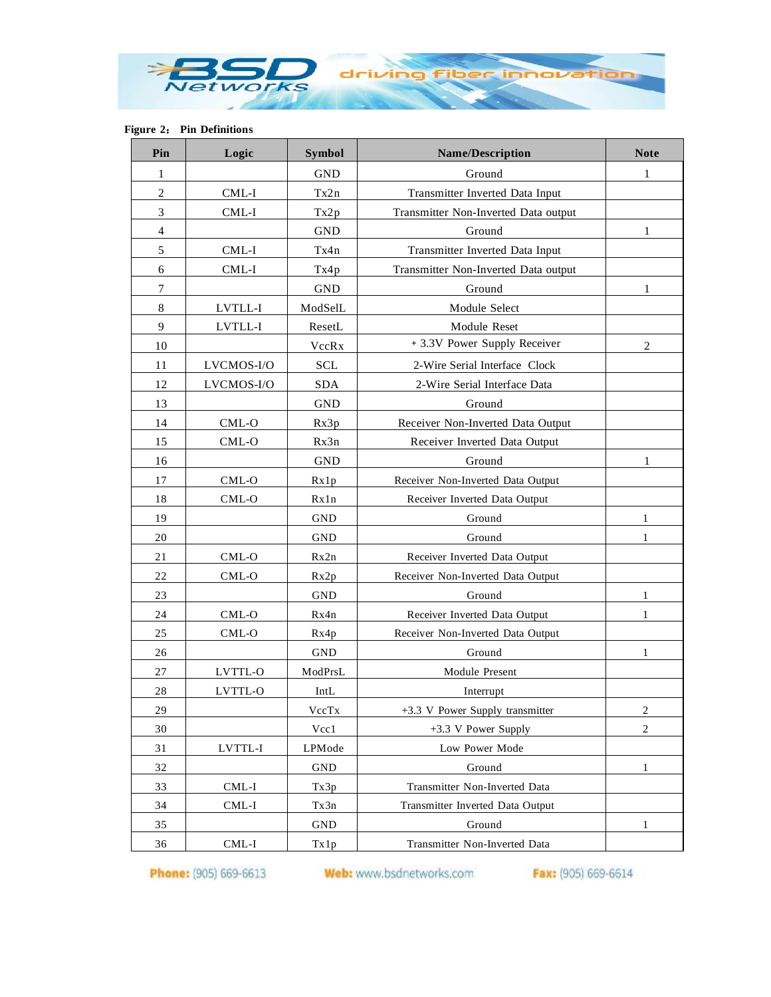

**Figure 2**: **Pin Definitions**

| Pin            | Logic      | <b>Symbol</b> | <b>Name/Description</b>              | <b>Note</b>  |
|----------------|------------|---------------|--------------------------------------|--------------|
| 1              |            | <b>GND</b>    | Ground                               | 1            |
| $\overline{2}$ | $CML-I$    | Tx2n          | Transmitter Inverted Data Input      |              |
| 3              | $CML-I$    | Tx2p          | Transmitter Non-Inverted Data output |              |
| $\overline{4}$ |            | <b>GND</b>    | Ground                               | 1            |
| 5              | CML-I      | Tx4n          | Transmitter Inverted Data Input      |              |
| 6              | CML-I      | Tx4p          | Transmitter Non-Inverted Data output |              |
| $\tau$         |            | <b>GND</b>    | Ground                               | 1            |
| 8              | LVTLL-I    | ModSelL       | Module Select                        |              |
| 9              | LVTLL-I    | ResetL        | Module Reset                         |              |
| 10             |            | VccRx         | + 3.3V Power Supply Receiver         | 2            |
| 11             | LVCMOS-I/O | <b>SCL</b>    | 2-Wire Serial Interface Clock        |              |
| 12             | LVCMOS-I/O | <b>SDA</b>    | 2-Wire Serial Interface Data         |              |
| 13             |            | <b>GND</b>    | Ground                               |              |
| 14             | CML-O      | Rx3p          | Receiver Non-Inverted Data Output    |              |
| 15             | CML-O      | Rx3n          | Receiver Inverted Data Output        |              |
| 16             |            | <b>GND</b>    | Ground                               | 1            |
| 17             | CML-O      | Rx1p          | Receiver Non-Inverted Data Output    |              |
| 18             | CML-O      | Rx1n          | Receiver Inverted Data Output        |              |
| 19             |            | <b>GND</b>    | Ground                               | 1            |
| 20             |            | <b>GND</b>    | Ground                               | 1            |
| 21             | CML-O      | Rx2n          | Receiver Inverted Data Output        |              |
| 22             | $CML-O$    | Rx2p          | Receiver Non-Inverted Data Output    |              |
| 23             |            | <b>GND</b>    | Ground                               | 1            |
| 24             | CML-O      | Rx4n          | Receiver Inverted Data Output        | $\mathbf{1}$ |
| 25             | CML-O      | Rx4p          | Receiver Non-Inverted Data Output    |              |
| 26             |            | <b>GND</b>    | Ground                               | 1            |
| 27             | LVTTL-O    | ModPrsL       | Module Present                       |              |
| 28             | LVTTL-O    | IntL          | Interrupt                            |              |
| 29             |            | VccTx         | +3.3 V Power Supply transmitter      | 2            |
| 30             |            | Vcc1          | $+3.3$ V Power Supply                | $\mathbf{2}$ |
| 31             | LVTTL-I    | LPMode        | Low Power Mode                       |              |
| 32             |            | <b>GND</b>    | Ground                               | 1            |
| 33             | $CML-I$    | Tx3p          | Transmitter Non-Inverted Data        |              |
| 34             | $CML-I$    | Tx3n          | Transmitter Inverted Data Output     |              |
| 35             |            | <b>GND</b>    | Ground                               | 1            |
| 36             | CML-I      | Tx1p          | Transmitter Non-Inverted Data        |              |

Phone: (905) 669-6613 Web: www.bsdnetworks.com Fax: (905) 669-6614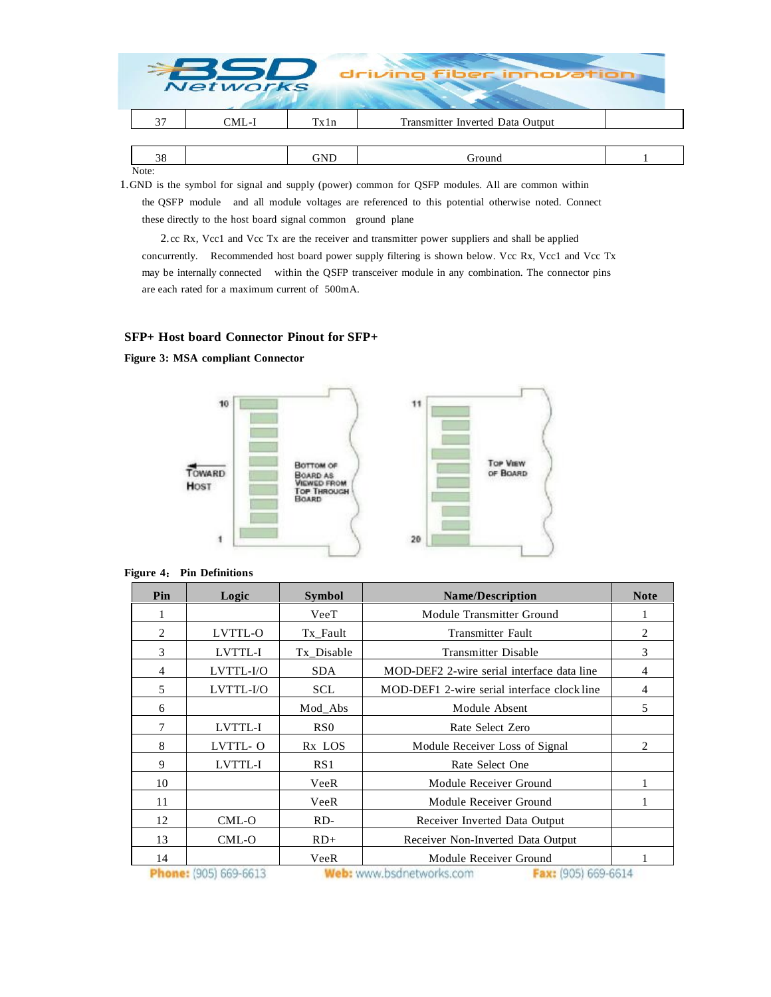|    | <b>Networks</b> |      | driving fiber innovation         |  |
|----|-----------------|------|----------------------------------|--|
| 37 | CML-I           | Tx1n | Transmitter Inverted Data Output |  |
|    |                 |      |                                  |  |
| 38 |                 | GND  | Ground                           |  |

Note:

1.GND is the symbol for signal and supply (power) common for QSFP modules. All are common within the QSFP module and all module voltages are referenced to this potential otherwise noted. Connect these directly to the host board signal common ground plane

2.cc Rx, Vcc1 and Vcc Tx are the receiver and transmitter power suppliers and shall be applied concurrently. Recommended host board power supply filtering is shown below. Vcc Rx, Vcc1 and Vcc Tx may be internally connected within the QSFP transceiver module in any combination. The connector pins are each rated for a maximum current of 500mA.

### **SFP+ Host board Connector Pinout for SFP+**

**Figure 3: MSA compliant Connector**



#### **Figure 4**: **Pin Definitions**

| Pin            | Logic                  | <b>Symbol</b>      | <b>Name/Description</b>                                                                              | <b>Note</b> |
|----------------|------------------------|--------------------|------------------------------------------------------------------------------------------------------|-------------|
| 1              |                        | VeeT               | Module Transmitter Ground                                                                            |             |
| $\overline{2}$ | LVTTL-O                | Tx_Fault           | <b>Transmitter Fault</b>                                                                             | 2           |
| 3              | LVTTL-I                | Tx Disable         | <b>Transmitter Disable</b>                                                                           | 3           |
| $\overline{4}$ | LVTTL-I/O              | <b>SDA</b>         | MOD-DEF2 2-wire serial interface data line                                                           | 4           |
| 5              | LVTTL-I/O              | <b>SCL</b>         | MOD-DEF1 2-wire serial interface clock line                                                          | 4           |
| 6              |                        | Mod_Abs            | Module Absent                                                                                        | 5           |
| $\overline{7}$ | LVTTL-I                | RS <sub>0</sub>    | Rate Select Zero                                                                                     |             |
| 8              | LVTTL-O                | R <sub>x</sub> LOS | Module Receiver Loss of Signal                                                                       | 2           |
| 9              | LVTTL-I                | RS1                | Rate Select One                                                                                      |             |
| 10             |                        | VeeR               | Module Receiver Ground                                                                               |             |
| 11             |                        | VeeR               | Module Receiver Ground                                                                               |             |
| 12             | $CML-O$                | $RD-$              | Receiver Inverted Data Output                                                                        |             |
| 13             | CML-O                  | $RD+$              | Receiver Non-Inverted Data Output                                                                    |             |
| 14             | mlanner (OAE) CCO CC19 | VeeR               | Module Receiver Ground<br><b>BRAINS</b> Courses handles also caused the same <b>From INNEL CENTA</b> |             |

**Phone:** (905) 669-6613

**Web:** www.bsdnetworks.com

Fax: (905) 669-6614